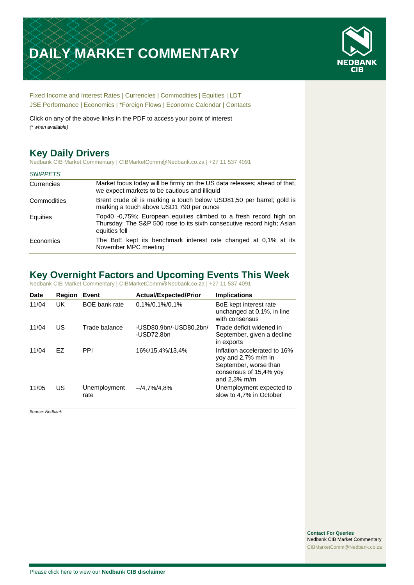# **DAILY MARKET COMMENTARY**



[Fixed Income and Interest Rates](#page-1-0) | [Currencies](#page-2-0) | [Commodities](#page-3-0) [| Equities](#page-4-0) | [LDT](#page-5-0) [JSE Performance](#page-6-0) [| Economics](#page-7-0) | [\\*Foreign Flows](#page-8-0) | [Economic Calendar](#page-8-0) | [Contacts](#page-9-0)

Click on any of the above links in the PDF to access your point of interest *(\* when available)*

# **Key Daily Drivers**

Nedbank CIB Market Commentary | CIBMarketComm@Nedbank.co.za | +27 11 537 4091

#### *SNIPPETS*

| Currencies  | Market focus today will be firmly on the US data releases; ahead of that,<br>we expect markets to be cautious and illiquid                                   |
|-------------|--------------------------------------------------------------------------------------------------------------------------------------------------------------|
| Commodities | Brent crude oil is marking a touch below USD81,50 per barrel; gold is<br>marking a touch above USD1 790 per ounce                                            |
| Equities    | Top40 -0,75%; European equities climbed to a fresh record high on<br>Thursday; The S&P 500 rose to its sixth consecutive record high; Asian<br>equities fell |
| Economics   | The BoE kept its benchmark interest rate changed at 0,1% at its<br>November MPC meeting                                                                      |

### **Key Overnight Factors and Upcoming Events This Week**

Nedbank CIB Market Commentary | CIBMarketComm@Nedbank.co.za | +27 11 537 4091

| <b>Date</b> | <b>Region</b> | Event                | <b>Actual/Expected/Prior</b>         | <b>Implications</b>                                                                                                       |
|-------------|---------------|----------------------|--------------------------------------|---------------------------------------------------------------------------------------------------------------------------|
| 11/04       | UK            | <b>BOE</b> bank rate | 0,1%/0,1%/0,1%                       | BoE kept interest rate<br>unchanged at 0,1%, in line<br>with consensus                                                    |
| 11/04       | US            | Trade balance        | -USD80,9bn/-USD80,2bn/<br>-USD72,8bn | Trade deficit widened in<br>September, given a decline<br>in exports                                                      |
| 11/04       | FZ.           | <b>PPI</b>           | 16%/15,4%/13,4%                      | Inflation accelerated to 16%<br>yoy and 2,7% m/m in<br>September, worse than<br>consensus of 15,4% yoy<br>and $2.3\%$ m/m |
| 11/05       | US            | Unemployment<br>rate | $-14.7\%/4.8\%$                      | Unemployment expected to<br>slow to 4,7% in October                                                                       |

*Source: Nedbank*

**Contact For Queries** Nedbank CIB Market Commentary [CIBMarketComm@Nedbank.co.za](file:///C:/Users/Paul-Rose/AppData/Roaming/Bluecurve/templates/CIBMarketComm@Nedbank.co.za)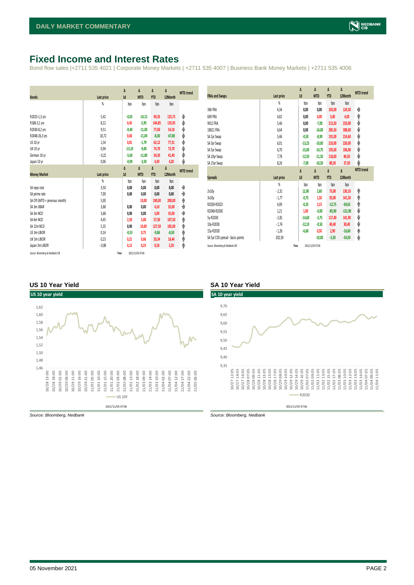### <span id="page-1-0"></span>**Fixed Income and Interest Rates**

Bond flow sales |+2711 535 4021 | Corporate Money Markets | +2711 535 4007 | Business Bank Money Markets | +2711 535 4006

| <b>Bonds</b>                                                                                                                                                          | <b>Last price</b>                                                                                 | Δ<br>1d                                                                        | Δ<br><b>MTD</b>                                                                       | Δ<br><b>YTD</b>                                                                              | Δ<br>12Month                                                                                    | <b>MTD</b> trend                               |
|-----------------------------------------------------------------------------------------------------------------------------------------------------------------------|---------------------------------------------------------------------------------------------------|--------------------------------------------------------------------------------|---------------------------------------------------------------------------------------|----------------------------------------------------------------------------------------------|-------------------------------------------------------------------------------------------------|------------------------------------------------|
|                                                                                                                                                                       | %                                                                                                 | bps                                                                            | bps                                                                                   | bps                                                                                          | bps                                                                                             |                                                |
| R2023-1,3 yrs<br>R186-5,1 yrs<br>R2030-8,2 yrs<br>R2048-26,3 yrs<br>US 10 yr<br><b>UK 10 yr</b><br>German 10 yr                                                       | 5,42<br>8,12<br>9,51<br>10,72<br>1,54<br>0,94<br>$-0,22$                                          | $-0,05$<br>0,45<br>$-0,40$<br>0,60<br>0,81<br>$-13,10$<br>$-5,60$              | $-14,15$<br>$-5,95$<br>$-11,00$<br>$-11,00$<br>$-1,79$<br>$-9,00$<br>$-11,80$         | 90,35<br>144,85<br>77,60<br>$-8,30$<br>62,12<br>74,70<br>34,50                               | 123,75<br>133,95<br>54,10<br>$-67,80$<br>77,31<br>73,70<br>41,40                                | ψ<br>ψ<br>ψ<br>ψ<br>ψ<br>ψ<br>ψ                |
| Japan 10 yr                                                                                                                                                           | 0,06                                                                                              | $-0,90$                                                                        | $-3,50$                                                                               | 4,30                                                                                         | 4,20                                                                                            | ψ                                              |
| <b>Money Market</b>                                                                                                                                                   | Last price                                                                                        | Δ<br>1d                                                                        | Δ<br><b>MTD</b>                                                                       | Δ<br><b>YTD</b>                                                                              | Δ<br>12Month                                                                                    | <b>MTD</b> trend                               |
| SA repo rate<br>SA prime rate<br>SA CPI (MTD = previous month)<br>SA 3m JIBAR<br>SA 3m NCD<br>SA 6m NCD<br>SA 12m NCD<br>US 3m LIBOR<br>UK 3m LIBOR<br>Japan 3m LIBOR | $\frac{9}{20}$<br>3,50<br>7,00<br>5,00<br>3,68<br>3,68<br>4,45<br>5,35<br>0,14<br>0,23<br>$-0,08$ | bps<br>0,00<br>0,00<br>0,00<br>0,00<br>2,50<br>0,00<br>$-0,53$<br>0,21<br>0,12 | bps<br>0,00<br>0,00<br>10,00<br>0,00<br>0,00<br>5,00<br>10,00<br>0,75<br>0,06<br>0,23 | bps<br>0,00<br>0,00<br>190,00<br>4,10<br>5,00<br>57,50<br>127,50<br>$-9,86$<br>20,34<br>0,18 | bps<br>0,00<br>0,00<br>200,00<br>35,00<br>35,00<br>107,50<br>185,00<br>$-8,50$<br>18,44<br>2,20 | ۰<br>٠<br>۸<br>٠<br>۰<br>۸<br>۸<br>φ<br>۸<br>φ |
| Source: Bloomberg & Nedbank CIB                                                                                                                                       | Time                                                                                              |                                                                                | 2021/11/05 07:06                                                                      |                                                                                              |                                                                                                 |                                                |

| <b>FRAs and Swaps</b>            | Last price     | Δ<br>1d  | Δ<br><b>MTD</b> | Δ<br><b>YTD</b> | Δ<br>12Month | <b>MTD</b> trend |
|----------------------------------|----------------|----------|-----------------|-----------------|--------------|------------------|
|                                  | $\frac{9}{20}$ | bps      | bps             | bps             | bps          |                  |
| 3X6 FRA                          | 4,34           | 0,00     | 0,00            | 103,00          | 124,50       | ۰                |
| 6X9 FRA                          | 4,81           | 0,00     | 4,00            | 3,00            | 4,00         | ۸                |
| 9X12 FRA                         | 5,46           | 0,00     | $-7,00$         | 213,50          | 233,00       | ψ                |
| 18X21 FRA                        | 6,64           | 0,00     | $-14,00$        | 285,50          | 308,00       | ψ                |
| SA 2yr Swap                      | 5,46           | $-0,50$  | $-8,90$         | 191,00          | 214,60       | ψ                |
| SA 3yr Swap                      | 6,01           | $-13,25$ | $-10,00$        | 210,00          | 226,00       | ψ                |
| SA 5yr Swap                      | 6,70           | $-15,00$ | $-14,75$        | 195,00          | 196,00       | ψ                |
| SA 10yr Swap                     | 7,78           | $-12,50$ | $-11,50$        | 118,00          | 84,50        | ψ                |
| SA 15yr Swap                     | 8,26           | $-7,00$  | $-10,50$        | 80,50           | 37,50        | J                |
|                                  |                |          |                 |                 |              |                  |
|                                  |                |          |                 |                 |              |                  |
|                                  |                | Δ        | Δ               | Δ               | $\Delta$     | <b>MTD</b> trend |
| <b>Spreads</b>                   | Last price     | 1d       | <b>MTD</b>      | <b>YTD</b>      | 12Month      |                  |
|                                  | $\frac{9}{20}$ | bps      | bps             | bps             | bps          |                  |
| 2v10v                            | $-2,31$        | 12,00    | 2,60            | 73,00           | 130,10       | ۸                |
| 3v10y                            | $-1,77$        | $-0,75$  | 1,50            | 92,00           | 141,50       | ♠                |
| R2030-R2023                      | 4,09           | $-0,35$  | 3,15            | $-12,75$        | $-69,65$     | ۸                |
| R2048-R2030                      | 1,21           | 1,00     | $-0,00$         | $-85,90$        | $-121,90$    | ψ                |
| 5y-R2030                         | $-2,81$        | $-14,60$ | $-3,75$         | 117,40          | 141,90       | ψ                |
| 10y-R2030                        | $-1,74$        | $-12,10$ | $-0,50$         | 40,40           | 30,40        | ψ                |
| 15y-R2030                        | $-1,26$        | $-6,60$  | 0,50            | 2,90            | $-16,60$     | ۸                |
| SA 5yr CDS spread - basis points | 202,50         |          | $-10,00$        | $-5,50$         | $-54,50$     | V                |

#### **US 10 Year Yield SA 10 Year Yield**



*Source: Bloomberg, Nedbank Source: Bloomberg, Nedbank*

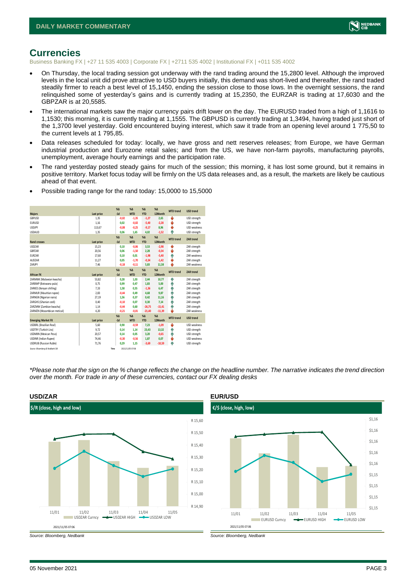

### <span id="page-2-0"></span>**Currencies**

Business Banking FX | +27 11 535 4003 | Corporate FX | +2711 535 4002 | Institutional FX | +011 535 4002

- On Thursday, the local trading session got underway with the rand trading around the 15,2800 level. Although the improved levels in the local unit did prove attractive to USD buyers initially, this demand was short-lived and thereafter, the rand traded steadily firmer to reach a best level of 15,1450, ending the session close to those lows. In the overnight sessions, the rand relinquished some of yesterday's gains and is currently trading at 15,2350, the EURZAR is trading at 17,6030 and the GBPZAR is at 20,5585.
- The international markets saw the major currency pairs drift lower on the day. The EURUSD traded from a high of 1,1616 to 1,1530; this morning, it is currently trading at 1,1555. The GBPUSD is currently trading at 1,3494, having traded just short of the 1,3700 level yesterday. Gold encountered buying interest, which saw it trade from an opening level around 1 775,50 to the current levels at 1 795,85.
- Data releases scheduled for today: locally, we have gross and nett reserves releases; from Europe, we have German industrial production and Eurozone retail sales; and from the US, we have non-farm payrolls, manufacturing payrolls, unemployment, average hourly earnings and the participation rate.
- The rand yesterday posted steady gains for much of the session; this morning, it has lost some ground, but it remains in positive territory. Market focus today will be firmly on the US data releases and, as a result, the markets are likely be cautious ahead of that event.

| <b>Majors</b>                   | Last price | X <sub>A</sub><br>$-1d$ | X <sub>A</sub><br><b>MTD</b> | $\%$ $\Lambda$<br><b>YTD</b> | $% \Lambda$<br>12Month | <b>MTD</b> trend | <b>USD trend</b>    |
|---------------------------------|------------|-------------------------|------------------------------|------------------------------|------------------------|------------------|---------------------|
| GBPUSD                          | 1.35       | $-0.02$                 | $-1.35$                      | $-1,27$                      | 2.65                   | ÷                | USD strength        |
| <b>EURUSD</b>                   | 1.16       | 0.02                    | $-0,02$                      | $-5,40$                      | $-2,28$                | ÷                | USD strength        |
| <b>USDJPY</b>                   | 113,67     | $-0.08$                 | $-0,25$                      | $-9,17$                      | 8,96                   | J                | <b>USD</b> weakness |
| <b>USDAUD</b>                   | 1,35       | 0,06                    | 1,65                         | 4,02                         | $-1,52$                | ۸                | USD strength        |
|                                 |            | $\chi_{\Delta}$         | X <sub>A</sub>               | $% \Delta$                   | $% \Delta$             | <b>MTD</b> trend | <b>ZAR trend</b>    |
| <b>Rand crosses</b>             | Last price | $-1d$                   | <b>MTD</b>                   | <b>YTD</b>                   | 12Month                |                  |                     |
| <b>USDZAR</b>                   | 15,23      | 0.10                    | $-0.06$                      | 3,53                         | $-2,98$                | ÷                | ZAR strength        |
| GBPZAR                          | 20,56      | 0.06                    | $-1.50$                      | 2,28                         | $-0,34$                | v                | ZAR strength        |
| <b>EURZAR</b>                   | 17,60      | 0.10                    | 0.01                         | $-1,98$                      | $-5,40$                | ٠                | ZAR weakness        |
| AUD7AR                          | 11,27      | 0.05                    | $-1.70$                      | $-0,34$                      | $-1.42$                | U                | ZAR strength        |
| ZARJPY                          | 7,46       | $-0,18$                 | $-0,11$                      | 5,83                         | 11,58                  | u                | ZAR weakness        |
|                                 |            | X <sub>A</sub>          | X <sub>A</sub>               | $\%$ $\Lambda$               | $% \Delta$             | <b>MTD</b> trend | ZAR trend           |
| <b>African FX</b>               | Last price | $-1d$                   | <b>MTD</b>                   | <b>YTD</b>                   | 12Month                |                  |                     |
| ZARMWK (Malawian kwacha)        | 53,82      | 0,28                    | 1,03                         | 2,44                         | 10,77                  | ۸                | ZAR strength        |
| ZARBWP (Botswana pula)          | 0.75       | 0.99                    | 0.47                         | 1,83                         | 5.00                   | ٨                | ZAR strength        |
| ZARKES (Kenyan shilling)        | 7,33       | 1.58                    | 0.55                         | $-1,36$                      | 6,47                   | ٨                | ZAR strength        |
| ZARMUR (Mauritian rupee)        | 2,83       | $-0,44$                 | 0,49                         | 4,68                         | 9,87                   | ٠                | ZAR strength        |
| ZARNGN (Nigerian naira)         | 27,19      | 1.56                    | 0.37                         | 0.42                         | 11.16                  | ٨                | ZAR strength        |
| ZARGHS (Ghanian cedi)           | 0,40       | $-0,10$                 | 0.07                         | 0,30                         | 7.14                   | ٠                | ZAR strength        |
| ZARZMW (Zambian kwacha)         | 1,14       | $-0,44$                 | 0.60                         | $-26.75$                     | $-15.41$               | ٠                | ZAR strength        |
| ZARMZN (Mozambican metical)     | 4,20       | $-0,21$                 | $-0.01$                      | $-21,40$                     | $-11,39$               | ı                | ZAR weakness        |
|                                 |            | X <sub>A</sub>          | X <sub>A</sub>               | $% \Delta$                   | $% \Delta$             | <b>MTD</b> trend | <b>USD trend</b>    |
| <b>Emerging Market FX</b>       | Last price | $-1d$                   | <b>MTD</b>                   | <b>YTD</b>                   | 12Month                |                  |                     |
| <b>USDBRL (Brazilian Real)</b>  | 5.60       | 0.90                    | $-0.59$                      | 7.23                         | $-1.09$                | ı                | USD weakness        |
| USDTRY (Turkish Lira)           | 9,72       | 0.14                    | 1.14                         | 23,43                        | 13.32                  | ٠                | USD strength        |
| <b>USDMXN (Mexican Peso)</b>    | 20,57      | 0,14                    | 0.05                         | 3,20                         | $-0,65$                | Α                | USD strength        |
| <b>USDINR</b> (Indian Rupee)    | 74,46      | $-0,30$                 | $-0,56$                      | 1,87                         | 0,07                   | v                | USD weakness        |
| <b>USDRUB (Russian Ruble)</b>   | 71.76      | 0.29                    | 1.15                         | $-3,69$                      | $-10.59$               | Φ                | USD strength        |
| Source: Bloomberg & Nedbank CIB | Time       |                         | 2021/11/05 07:06             |                              |                        |                  |                     |

• Possible trading range for the rand today: 15,0000 to 15,5000

*\*Please note that the sign on the % change reflects the change on the headline number. The narrative indicates the trend direction over the month. For trade in any of these currencies, contact our FX dealing desks*



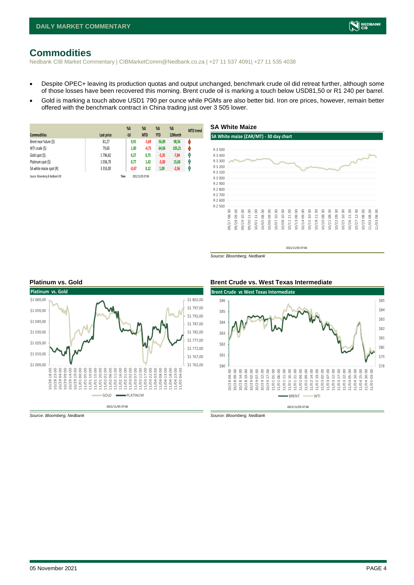# <span id="page-3-0"></span>**Commodities**

Nedbank CIB Market Commentary | CIBMarketComm@Nedbank.co.za | +27 11 537 4091| +27 11 535 4038

- Despite OPEC+ leaving its production quotas and output unchanged, benchmark crude oil did retreat further, although some of those losses have been recovered this morning. Brent crude oil is marking a touch below USD81,50 or R1 240 per barrel.
- Gold is marking a touch above USD1 790 per ounce while PGMs are also better bid. Iron ore prices, however, remain better offered with the benchmark contract in China trading just over 3 505 lower.

| <b>Commodities</b>              | Last price    | $%$ $\Delta$<br>$-1d$ | %Δ<br><b>MTD</b> | $%$ $\Delta$<br><b>YTD</b> | $%$ $\Delta$<br>12Month | <b>MTD</b> trend |
|---------------------------------|---------------|-----------------------|------------------|----------------------------|-------------------------|------------------|
| Brent near future (\$)          | 81,27         | 0,91                  | $-3,69$          | 56,89                      | 98,56                   | ψ                |
| WTI crude (\$)                  | 79,60         | 1,00                  | $-4,75$          | 64,06                      | 105,21                  | Ŵ                |
| Gold spot (\$)                  | 1796,82       | 0,27                  | 0,75             | $-5,35$                    | $-7,84$                 | Ĥ                |
| Platinum spot (\$)              | 1036.70       | 0,77                  | 1,42             | $-3,30$                    | 15,60                   | q,               |
| SA white maize spot (R)         | 3 3 5 3 , 0 0 | $-0,47$               | 0,12             | 1,09                       | $-2,56$                 | Ĥ                |
| Source: Bloomberg & Nedbank CIB |               | Time                  | 2021/11/05 07:06 |                            |                         |                  |



*Source: Bloomberg, Nedbank*



#### **Platinum vs. Gold Brent Crude vs. West Texas Intermediate**



*Source: Bloomberg, Nedbank Source: Bloomberg, Nedbank*

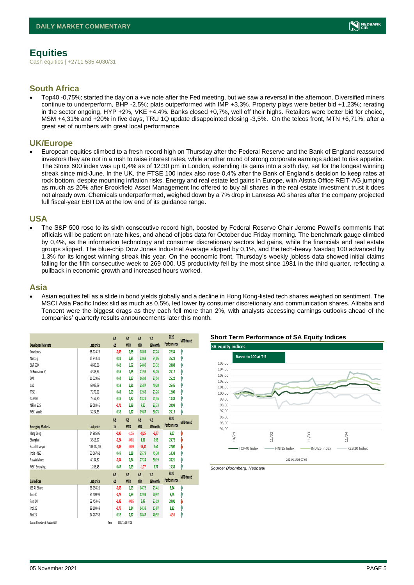# <span id="page-4-0"></span>**Equities**

Cash equities | +2711 535 4030/31

#### **South Africa**

• Top40 -0,75%; started the day on a +ve note after the Fed meeting, but we saw a reversal in the afternoon. Diversified miners continue to underperform, BHP -2,5%; plats outperformed with IMP +3,3%. Property plays were better bid +1,23%; rerating in the sector ongoing, HYP +2%, VKE +4,4%. Banks closed +0,7%, well off their highs. Retailers were better bid for choice, MSM +4,31% and +20% in five days, TRU 1Q update disappointed closing -3,5%. On the telcos front, MTN +6,71%; after a great set of numbers with great local performance.

#### **UK/Europe**

• European equities climbed to a fresh record high on Thursday after the Federal Reserve and the Bank of England reassured investors they are not in a rush to raise interest rates, while another round of strong corporate earnings added to risk appetite. The Stoxx 600 index was up 0,4% as of 12:30 pm in London, extending its gains into a sixth day, set for the longest winning streak since mid-June. In the UK, the FTSE 100 index also rose 0,4% after the Bank of England's decision to keep rates at rock bottom, despite mounting inflation risks. Energy and real estate led gains in Europe, with Alstria Office REIT-AG jumping as much as 20% after Brookfield Asset Management Inc offered to buy all shares in the real estate investment trust it does not already own. Chemicals underperformed, weighed down by a 7% drop in Lanxess AG shares after the company projected full fiscal-year EBITDA at the low end of its guidance range.

#### **USA**

• The S&P 500 rose to its sixth consecutive record high, boosted by Federal Reserve Chair Jerome Powell's comments that officials will be patient on rate hikes, and ahead of jobs data for October due Friday morning. The benchmark gauge climbed by 0,4%, as the information technology and consumer discretionary sectors led gains, while the financials and real estate groups slipped. The blue-chip Dow Jones Industrial Average slipped by 0,1%, and the tech-heavy Nasdaq 100 advanced by 1,3% for its longest winning streak this year. On the economic front, Thursday's weekly jobless data showed initial claims falling for the fifth consecutive week to 269 000. US productivity fell by the most since 1981 in the third quarter, reflecting a pullback in economic growth and increased hours worked.

#### **Asia**

• Asian equities fell as a slide in bond yields globally and a decline in Hong Kong-listed tech shares weighed on sentiment. The MSCI Asia Pacific Index slid as much as 0,5%, led lower by consumer discretionary and communication shares. Alibaba and Tencent were the biggest drags as they each fell more than 2%, with analysts accessing earnings outlooks ahead of the companies' quarterly results announcements later this month.

|                                 |              | $\%$ $\Delta$ | $\%$ $\Delta$    | $\%$ $\Delta$ | $\%$          | 2020        |                  |
|---------------------------------|--------------|---------------|------------------|---------------|---------------|-------------|------------------|
| <b>Developed Markets</b>        | Last price   | $-1d$         | <b>MTD</b>       | <b>YTD</b>    | 12Month       | Performance | <b>MTD</b> trend |
| Dow Jones                       | 36 124.23    | $-0.09$       | 0,85             | 18,03         | 27,24         | 22,34       | A                |
| Nasdaq                          | 15 940,31    | 0,81          | 2,85             | 23,68         | 34,05         | 35,23       | Α                |
| S&P 500                         | 4680,06      | 0,42          | 1,62             | 24,60         | 33,32         | 28,88       | A                |
| DJ Eurostoxx 50                 | 4333,34      | 0,55          | 1,95             | 21,98         | 34,76         | 25,12       | Α                |
| DAX                             | 16 029,65    | 0.44          | 2,17             | 16,84         | 27,54         | 25,22       | Α                |
| CAC                             | 6 987,79     | 0,53          | 2,31             | 25,87         | 40,20         | 26,46       | ٨                |
| <b>FTSE</b>                     | 7279,91      | 0,43          | 0,59             | 12,68         | 23,26         | 12,00       | ٨                |
| ASX200                          | 7457,30      | 0,39          | 1,82             | 13,21         | 21,46         | 13,38       | ٨                |
| Nikkei 225                      | 29 583,45    | $-0.71$       | 2,39             | 7,80          | 22,73         | 20,93       | ٨                |
| MSCI World                      | 3 2 2 4, 6 3 | 0,38          | 1,57             | 19,87         | 30,73         | 25,19       | ٨                |
|                                 |              | $\%$ $\Delta$ | $\%$ $\Delta$    | $\%$ $\Delta$ | $\%$ $\Delta$ | 2020        | <b>MTD</b> trend |
| <b>Emerging Markets</b>         | Last price   | $-1d$         | <b>MTD</b>       | <b>YTD</b>    | 12Month       | Performance |                  |
| Hang Seng                       | 24 985,05    | $-0.95$       | $-1,55$          | $-8,25$       | $-2,77$       | 9,07        | V                |
| Shanghai                        | 3518,57      | $-0,24$       | $-0,81$          | 1.31          | 5,98          | 23,72       | V                |
| Brazil Bovespa                  | 103 412,10   | $-2,09$       | $-0.09$          | $-13,11$      | 2,64          | 27,07       | V                |
| India - NSE                     | 60 067,62    | 0,49          | 1,28             | 25,79         | 45,30         | 14,38       | Α                |
| Russia Micex                    | 4 184.87     | $-0,54$       | 0.84             | 27.24         | 50.19         | 28,21       | ٨                |
| <b>MSCI Emerging</b>            | 1268,45      | 0.47          | 0.29             | $-1, 77$      | 8,77          | 15,38       | ٨                |
|                                 |              | $\%$ $\Delta$ | $\%$ $\Delta$    | $\%$ $\Delta$ | $\%$          | 2020        |                  |
| <b>SA Indices</b>               | Last price   | $-1d$         | <b>MTD</b>       | <b>YTD</b>    | 12Month       | Performance | <b>MTD</b> trend |
| <b>ISE All Share</b>            | 68 156,21    | $-0.63$       | 1,03             | 14,72         | 23,41         | 8,24        | ٨                |
| Top 40                          | 61 409,93    | $-0.75$       | 0,99             | 12,93         | 20,97         | 8,75        | A                |
| Resi 10                         | 62 453.45    | $-1.42$       | $-0.85$          | 8.47          | 23.19         | 20.01       | V                |
| Indi 25                         | 89 103,49    | $-0,77$       | 1,84             | 14,38         | 13,87         | 8,82        | ⋔                |
| Fini 15                         | 14 287,58    | 0,32          | 2,37             | 18,47         | 40,92         | $-4,30$     | ٨                |
| Source: Bloomberg & Nedbank CIB |              | Time          | 2021/11/05 07:06 |               |               |             |                  |





*Source: Bloomberg, Nedbank*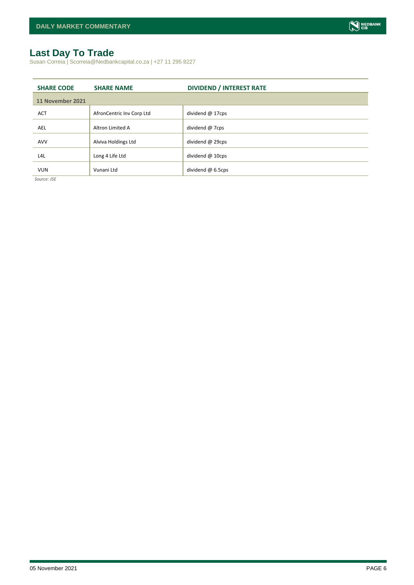# <span id="page-5-0"></span>**Last Day To Trade**

Susan Correia | Scorreia@Nedbankcapital.co.za | +27 11 295 8227

| <b>SHARE CODE</b> | <b>SHARE NAME</b>         | <b>DIVIDEND / INTEREST RATE</b> |  |  |  |  |
|-------------------|---------------------------|---------------------------------|--|--|--|--|
| 11 November 2021  |                           |                                 |  |  |  |  |
| <b>ACT</b>        | AfronCentric Inv Corp Ltd | dividend $@$ 17cps              |  |  |  |  |
| AEL               | Altron Limited A          | dividend @ 7cps                 |  |  |  |  |
| <b>AVV</b>        | Alviva Holdings Ltd       | dividend @ 29cps                |  |  |  |  |
| L4L               | Long 4 Life Ltd           | dividend @ 10cps                |  |  |  |  |
| <b>VUN</b>        | Vunani Ltd                | dividend @ 6.5cps               |  |  |  |  |

*Source: JSE*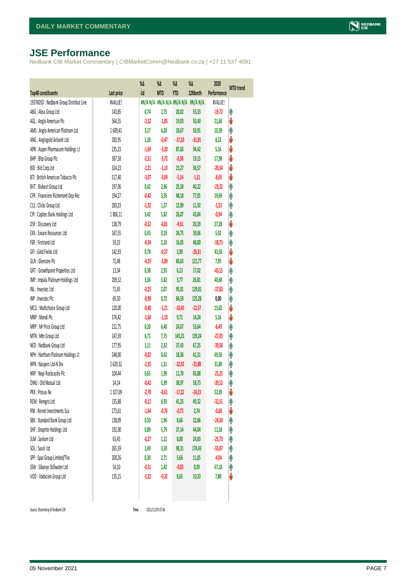# <span id="page-6-0"></span>**JSE Performance**

Nedbank CIB Market Commentary | CIBMarketComm@Nedbank.co.za | +27 11 537 4091

|                                        |            | $\%$ $\Delta$ | %Δ         | %Δ         | %Δ                              | 2020        | <b>MTD</b> trend |
|----------------------------------------|------------|---------------|------------|------------|---------------------------------|-------------|------------------|
| Top40 constituents                     | Last price | $-1d$         | <b>MTD</b> | <b>YTD</b> | 12Month                         | Performance |                  |
| 1937605D: Nedbank Group Distribut Line | #VALUE!    |               |            |            | #N/AN/A #N/AN/A #N/AN/A #N/AN/A | #VALUE!     |                  |
| ABG: Absa Group Ltd                    | 143,85     | 0,74          | 2,75       | 20,02      | 53,33                           | $-19,72$    | φ                |
| AGL: Anglo American Plc                | 564,55     | $-3,32$       | $-1,85$    | 19,03      | 50,40                           | 21,60       | V                |
| AMS: Anglo American Platinum Ltd       | 1609,41    | 3,17          | 4,28       | 18,67      | 50,91                           | 10,39       | φ                |
| ANG: Anglogold Ashanti Ltd             | 283,95     | 1,28          | $-0,47$    | $-17,10$   | $-31,91$                        | 8,22        | V                |
| APN : Aspen Pharmacare Holdings Lt     | 235,23     | $-1,69$       | $-3,30$    | 87,63      | 94,42                           | 5,16        | V                |
| BHP: Bhp Group Plc                     | 387,58     | $-2,51$       | $-3,72$    | $-0,38$    | 19,15                           | 17,98       | ψ                |
| BID: Bid Corp Ltd                      | 324,23     | $-1,21$       | $-1,10$    | 23,27      | 36,57                           | $-20,34$    | ψ                |
| BTI: British American Tobacco Plc      | 517,40     | $-3,07$       | $-3,09$    | $-5,14$    | $-1,11$                         | $-8,69$     | ψ                |
| BVT: Bidvest Group Ltd                 | 197,06     | 0,42          | 2,96       | 25,50      | 40,22                           | $-23,32$    | φ                |
| CFR : Financiere Richemont-Dep Rec     | 194,27     | $-0,42$       | 3,35       | 48,18      | 77,81                           | 19,69       | φ                |
| CLS : Clicks Group Ltd                 | 283,23     | $-1,32$       | 1,57       | 12,09      | 11,92                           | $-1,53$     | φ                |
| CPI : Capitec Bank Holdings Ltd        | 1806,11    | 3,42          | 5,82       | 26,07      | 43,04                           | $-0,94$     | φ                |
| DSY: Discovery Ltd                     | 138,79     | $-0,52$       | $-0,81$    | $-9,61$    | 20,39                           | 27,28       | ψ                |
| EXX: Exxaro Resources Ltd              | 167,55     | 0,43          | 0,18       | 24,75      | 39,06                           | 5,92        | φ                |
| FSR: Firstrand Ltd                     | 59,23      | $-0,34$       | 2,10       | 16,05      | 48,00                           | $-18,73$    | φ                |
| GFI: Gold Fields Ltd                   | 142,93     | 0,78          | $-0,27$    | 3,90       | $-26,31$                        | 43,50       | V                |
| GLN : Glencore Plc                     | 72,48      | $-4,19$       | $-3,89$    | 60,63      | 121,77                          | 7,95        | ψ                |
| GRT : Growthpoint Properties Ltd       | 13,34      | 0,38          | 2,93       | 6,13       | 17,02                           | $-43,15$    | φ                |
| IMP : Impala Platinum Holdings Ltd     | 209,52     | 3,36          | 5,82       | 3,77       | 26,81                           | 40,68       | Λ                |
| INL: Investec Ltd                      | 71,45      | $-0,25$       | 2,07       | 95,01      | 129,01                          | $-37,83$    | Λ                |
| INP: Invested Plc                      | 69,50      | $-0,98$       | 0,72       | 84,59      | 125,28                          | 0,00        | φ                |
| MCG: Multichoice Group Ltd             | 120,00     | $-0,40$       | $-1,21$    | $-10,45$   | $-12,57$                        | 15,02       | ψ                |
| MNP: Mondi Plc                         | 376,42     | $-1,60$       | $-1,10$    | 9,71       | 14,24                           | 5,16        | ψ                |
| MRP : Mr Price Group Ltd               | 212,75     | 0,20          | 6,40       | 24,67      | 53,64                           | $-6,49$     | φ                |
| MTN: Mtn Group Ltd                     | 147,59     | 6,71          | 7,75       | 145,21     | 139,24                          | $-27,03$    | φ                |
| NED : Nedbank Group Ltd                | 177,95     | 1,11          | 2,32       | 37,43      | 67,25                           | $-39,58$    | φ                |
| NPH : Northam Platinum Holdings Lt     | 248,00     | $-0,02$       | 8,42       | 18,36      | 41,31                           | 69,50       | φ                |
| NPN: Naspers Ltd-N Shs                 | 2629,32    | $-2,35$       | 1,51       | $-12,92$   | $-21,88$                        | 31,80       | φ                |
| NRP : Nepi Rockcastle Plc              | 104,44     | 0,65          | 1,99       | 11,70      | 65,88                           | $-21,25$    | φ                |
| OMU: Old Mutual Ltd                    | 14,14      | $-0,42$       | 5,99       | 38,97      | 58,73                           | $-39,52$    | φ                |
| PRX : Prosus Nv                        | 1327,09    | $-2,78$       | $-0,61$    | $-17,22$   | $-24,23$                        | 52,39       | ψ                |
| REM : Remgro Ltd                       | 135,88     | $-0,11$       | 0,93       | 41,25      | 49,32                           | $-32,51$    | φ                |
| RNI : Reinet Investments Sca           | 273,61     | $-1,64$       | $-0,76$    | $-0,73$    | 2,74                            | $-0,68$     | V                |
| SBK: Standard Bank Group Ltd           | 138,09     | 0,50          | 1,96       | 8,66       | 22,86                           | $-24,50$    | φ                |
| SHP: Shoprite Holdings Ltd             | 192,00     | 0,89          | 5,79       | 37,14      | 44,04                           | 11,18       | Ĥ                |
| SLM : Sanlam Ltd                       | 63,45      | $-0,27$       | 1,12       | 8,00       | 24,83                           | $-25,73$    | φ                |
| SOL: Sasol Ltd                         | 265,59     | 1,49          | 3,50       | 98,31      | 174,43                          | $-55,87$    | Ĥ                |
| SPP: Spar Group Limited/The            | 200,26     | 0,30          | 2,71       | 5,66       | 11,05                           | $-4,04$     | φ                |
| SSW : Sibanye Stillwater Ltd           | 54,10      | $-0,51$       | 1,42       | $-9,83$    | 0,93                            | 67,18       | φ                |
| VOD: Vodacom Group Ltd                 | 135,15     | $-1,22$       | $-0,32$    | 8,65       | 10,33                           | 7,88        | V                |
|                                        |            |               |            |            |                                 |             |                  |

 $Source: Bloomberg & Nedbank *CB*$ 

Time 2021/11/05 07:06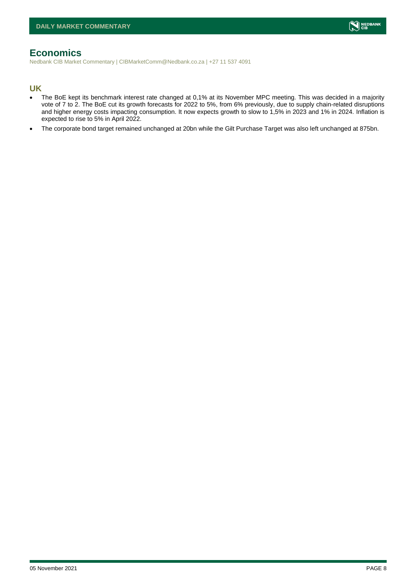## <span id="page-7-0"></span>**Economics**

Nedbank CIB Market Commentary | CIBMarketComm@Nedbank.co.za | +27 11 537 4091

#### **UK**

- The BoE kept its benchmark interest rate changed at 0,1% at its November MPC meeting. This was decided in a majority vote of 7 to 2. The BoE cut its growth forecasts for 2022 to 5%, from 6% previously, due to supply chain-related disruptions and higher energy costs impacting consumption. It now expects growth to slow to 1,5% in 2023 and 1% in 2024. Inflation is expected to rise to 5% in April 2022.
- The corporate bond target remained unchanged at 20bn while the Gilt Purchase Target was also left unchanged at 875bn.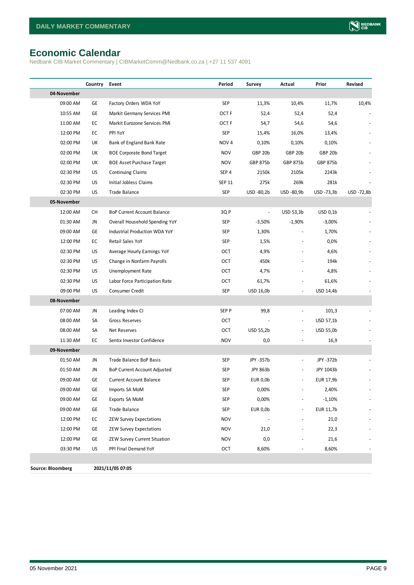# <span id="page-8-0"></span>**Economic Calendar**

Nedbank CIB Market Commentary | CIBMarketComm@Nedbank.co.za | +27 11 537 4091

|                          | Country | Event                              | Period           | Survey          | Actual                   | Prior      | Revised    |
|--------------------------|---------|------------------------------------|------------------|-----------------|--------------------------|------------|------------|
| 04-November              |         |                                    |                  |                 |                          |            |            |
| 09:00 AM                 | GE      | Factory Orders WDA YoY             | SEP              | 11,3%           | 10,4%                    | 11,7%      | 10,4%      |
| 10:55 AM                 | GE      | Markit Germany Services PMI        | OCT F            | 52,4            | 52,4                     | 52,4       |            |
| 11:00 AM                 | EC      | Markit Eurozone Services PMI       | OCT F            | 54,7            | 54,6                     | 54,6       |            |
| 12:00 PM                 | EC      | PPI YoY                            | SEP              | 15,4%           | 16,0%                    | 13,4%      |            |
| 02:00 PM                 | UK      | Bank of England Bank Rate          | NOV <sub>4</sub> | 0,10%           | 0,10%                    | 0,10%      |            |
| 02:00 PM                 | UK      | <b>BOE Corporate Bond Target</b>   | <b>NOV</b>       | GBP 20b         | GBP 20b                  | GBP 20b    |            |
| 02:00 PM                 | UK      | <b>BOE Asset Purchase Target</b>   | <b>NOV</b>       | GBP 875b        | GBP 875b                 | GBP 875b   |            |
| 02:30 PM                 | US      | <b>Continuing Claims</b>           | SEP 4            | 2150k           | 2105k                    | 2243k      |            |
| 02:30 PM                 | US      | Initial Jobless Claims             | SEP 11           | 275k            | 269k                     | 281k       |            |
| 02:30 PM                 | US      | Trade Balance                      | <b>SEP</b>       | USD -80,2b      | USD -80,9b               | USD -73,3b | USD -72,8b |
| 05-November              |         |                                    |                  |                 |                          |            |            |
| 12:00 AM                 | СH      | <b>BoP Current Account Balance</b> | 3QP              | $\blacksquare$  | USD 53,3b                | USD 0,1b   |            |
| 01:30 AM                 | JN      | Overall Household Spending YoY     | SEP              | $-3,50%$        | $-1,90%$                 | $-3,00%$   |            |
| 09:00 AM                 | GE      | Industrial Production WDA YoY      | SEP              | 1,30%           |                          | 1,70%      |            |
| 12:00 PM                 | EC      | Retail Sales YoY                   | SEP              | 1,5%            |                          | 0,0%       |            |
| 02:30 PM                 | US      | Average Hourly Earnings YoY        | OCT              | 4,9%            | $\blacksquare$           | 4,6%       |            |
| 02:30 PM                 | US      | Change in Nonfarm Payrolls         | OCT              | 450k            |                          | 194k       |            |
| 02:30 PM                 | US      | Unemployment Rate                  | OCT              | 4,7%            | $\blacksquare$           | 4,8%       |            |
| 02:30 PM                 | US      | Labor Force Participation Rate     | OCT              | 61,7%           |                          | 61,6%      |            |
| 09:00 PM                 | US      | Consumer Credit                    | SEP              | USD 16,0b       |                          | USD 14,4b  |            |
| 08-November              |         |                                    |                  |                 |                          |            |            |
| 07:00 AM                 | JN      | Leading Index CI                   | SEP P            | 99,8            | $\frac{1}{2}$            | 101,3      |            |
| 08:00 AM                 | SA      | Gross Reserves                     | <b>OCT</b>       |                 | $\overline{\phantom{a}}$ | USD 57,1b  |            |
| 08:00 AM                 | SA      | Net Reserves                       | OCT              | USD 55,2b       | $\overline{\phantom{a}}$ | USD 55,0b  |            |
| 11:30 AM                 | EC      | Sentix Investor Confidence         | <b>NOV</b>       | 0,0             |                          | 16,9       |            |
| 09-November              |         |                                    |                  |                 |                          |            |            |
| 01:50 AM                 | JN      | Trade Balance BoP Basis            | SEP              | JPY -357b       | $\frac{1}{2}$            | JPY -372b  |            |
| 01:50 AM                 | JN      | BoP Current Account Adjusted       | SEP              | JPY 863b        | $\overline{\phantom{a}}$ | JPY 1043b  |            |
| 09:00 AM                 | GE      | <b>Current Account Balance</b>     | <b>SEP</b>       | EUR 0,0b        |                          | EUR 17,9b  |            |
| 09:00 AM                 | GE      | Imports SA MoM                     | SEP              | 0,00%           |                          | 2,40%      |            |
| 09:00 AM                 | GE      | Exports SA MoM                     | SEP              | 0,00%           |                          | $-1,10%$   |            |
| 09:00 AM                 | GE      | Trade Balance                      | SEP              | <b>EUR 0,0b</b> | $\overline{\phantom{a}}$ | EUR 11,7b  |            |
| 12:00 PM                 | EC      | <b>ZEW Survey Expectations</b>     | <b>NOV</b>       |                 |                          | 21,0       |            |
| 12:00 PM                 | GE      | <b>ZEW Survey Expectations</b>     | <b>NOV</b>       | 21,0            |                          | 22,3       |            |
| 12:00 PM                 | GE      | ZEW Survey Current Situation       | <b>NOV</b>       | 0,0             |                          | 21,6       |            |
| 03:30 PM                 | US      | PPI Final Demand YoY               | <b>OCT</b>       | 8,60%           | $\frac{1}{2}$            | 8,60%      |            |
|                          |         |                                    |                  |                 |                          |            |            |
| <b>Source: Bloomberg</b> |         | 2021/11/05 07:05                   |                  |                 |                          |            |            |